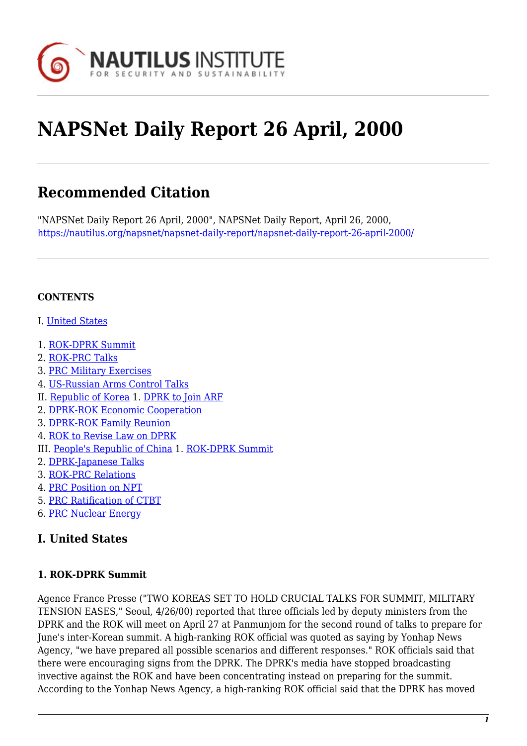

# **NAPSNet Daily Report 26 April, 2000**

# **Recommended Citation**

"NAPSNet Daily Report 26 April, 2000", NAPSNet Daily Report, April 26, 2000, <https://nautilus.org/napsnet/napsnet-daily-report/napsnet-daily-report-26-april-2000/>

#### **CONTENTS**

- I. [United States](#page-0-0)
- 1. [ROK-DPRK Summit](#page-0-1)
- 2. [ROK-PRC Talks](#page-1-0)
- 3. [PRC Military Exercises](#page-1-1)
- 4. [US-Russian Arms Control Talks](#page-1-2)
- II. [Republic of Korea](#page-2-0) 1. [DPRK to Join ARF](#page-2-1)
- 2. [DPRK-ROK Economic Cooperation](#page-2-2)
- 3. [DPRK-ROK Family Reunion](#page-2-3)
- 4. [ROK to Revise Law on DPRK](#page-3-0)
- III. [People's Republic of China](#page-3-1) 1. [ROK-DPRK Summit](#page-3-2)
- 2. [DPRK-Japanese Talks](#page-3-3)
- 3. [ROK-PRC Relations](#page-3-4)
- 4. [PRC Position on NPT](#page-4-0)
- 5. [PRC Ratification of CTBT](#page-4-1)
- 6. [PRC Nuclear Energy](#page-4-2)

#### <span id="page-0-0"></span>**I. United States**

#### <span id="page-0-1"></span>**1. ROK-DPRK Summit**

Agence France Presse ("TWO KOREAS SET TO HOLD CRUCIAL TALKS FOR SUMMIT, MILITARY TENSION EASES," Seoul, 4/26/00) reported that three officials led by deputy ministers from the DPRK and the ROK will meet on April 27 at Panmunjom for the second round of talks to prepare for June's inter-Korean summit. A high-ranking ROK official was quoted as saying by Yonhap News Agency, "we have prepared all possible scenarios and different responses." ROK officials said that there were encouraging signs from the DPRK. The DPRK's media have stopped broadcasting invective against the ROK and have been concentrating instead on preparing for the summit. According to the Yonhap News Agency, a high-ranking ROK official said that the DPRK has moved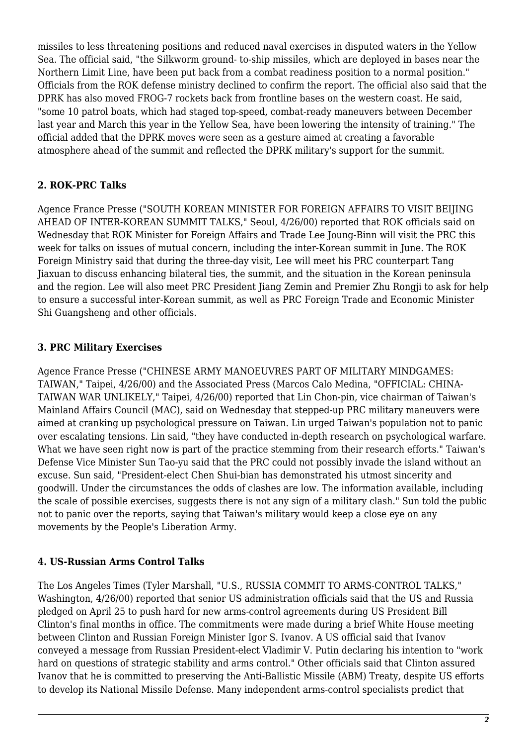missiles to less threatening positions and reduced naval exercises in disputed waters in the Yellow Sea. The official said, "the Silkworm ground- to-ship missiles, which are deployed in bases near the Northern Limit Line, have been put back from a combat readiness position to a normal position." Officials from the ROK defense ministry declined to confirm the report. The official also said that the DPRK has also moved FROG-7 rockets back from frontline bases on the western coast. He said, "some 10 patrol boats, which had staged top-speed, combat-ready maneuvers between December last year and March this year in the Yellow Sea, have been lowering the intensity of training." The official added that the DPRK moves were seen as a gesture aimed at creating a favorable atmosphere ahead of the summit and reflected the DPRK military's support for the summit.

#### <span id="page-1-0"></span>**2. ROK-PRC Talks**

Agence France Presse ("SOUTH KOREAN MINISTER FOR FOREIGN AFFAIRS TO VISIT BEIJING AHEAD OF INTER-KOREAN SUMMIT TALKS," Seoul, 4/26/00) reported that ROK officials said on Wednesday that ROK Minister for Foreign Affairs and Trade Lee Joung-Binn will visit the PRC this week for talks on issues of mutual concern, including the inter-Korean summit in June. The ROK Foreign Ministry said that during the three-day visit, Lee will meet his PRC counterpart Tang Jiaxuan to discuss enhancing bilateral ties, the summit, and the situation in the Korean peninsula and the region. Lee will also meet PRC President Jiang Zemin and Premier Zhu Rongji to ask for help to ensure a successful inter-Korean summit, as well as PRC Foreign Trade and Economic Minister Shi Guangsheng and other officials.

#### <span id="page-1-1"></span>**3. PRC Military Exercises**

Agence France Presse ("CHINESE ARMY MANOEUVRES PART OF MILITARY MINDGAMES: TAIWAN," Taipei, 4/26/00) and the Associated Press (Marcos Calo Medina, "OFFICIAL: CHINA-TAIWAN WAR UNLIKELY," Taipei, 4/26/00) reported that Lin Chon-pin, vice chairman of Taiwan's Mainland Affairs Council (MAC), said on Wednesday that stepped-up PRC military maneuvers were aimed at cranking up psychological pressure on Taiwan. Lin urged Taiwan's population not to panic over escalating tensions. Lin said, "they have conducted in-depth research on psychological warfare. What we have seen right now is part of the practice stemming from their research efforts." Taiwan's Defense Vice Minister Sun Tao-yu said that the PRC could not possibly invade the island without an excuse. Sun said, "President-elect Chen Shui-bian has demonstrated his utmost sincerity and goodwill. Under the circumstances the odds of clashes are low. The information available, including the scale of possible exercises, suggests there is not any sign of a military clash." Sun told the public not to panic over the reports, saying that Taiwan's military would keep a close eye on any movements by the People's Liberation Army.

#### <span id="page-1-2"></span>**4. US-Russian Arms Control Talks**

The Los Angeles Times (Tyler Marshall, "U.S., RUSSIA COMMIT TO ARMS-CONTROL TALKS," Washington, 4/26/00) reported that senior US administration officials said that the US and Russia pledged on April 25 to push hard for new arms-control agreements during US President Bill Clinton's final months in office. The commitments were made during a brief White House meeting between Clinton and Russian Foreign Minister Igor S. Ivanov. A US official said that Ivanov conveyed a message from Russian President-elect Vladimir V. Putin declaring his intention to "work hard on questions of strategic stability and arms control." Other officials said that Clinton assured Ivanov that he is committed to preserving the Anti-Ballistic Missile (ABM) Treaty, despite US efforts to develop its National Missile Defense. Many independent arms-control specialists predict that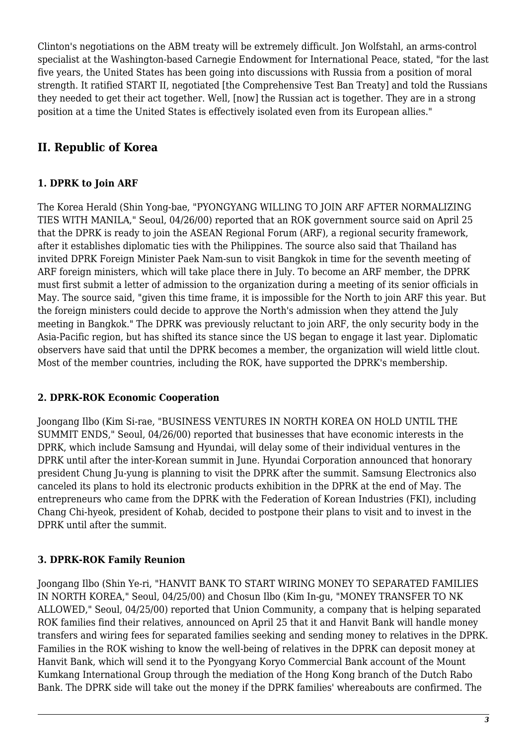Clinton's negotiations on the ABM treaty will be extremely difficult. Jon Wolfstahl, an arms-control specialist at the Washington-based Carnegie Endowment for International Peace, stated, "for the last five years, the United States has been going into discussions with Russia from a position of moral strength. It ratified START II, negotiated [the Comprehensive Test Ban Treaty] and told the Russians they needed to get their act together. Well, [now] the Russian act is together. They are in a strong position at a time the United States is effectively isolated even from its European allies."

## <span id="page-2-0"></span>**II. Republic of Korea**

#### <span id="page-2-1"></span>**1. DPRK to Join ARF**

The Korea Herald (Shin Yong-bae, "PYONGYANG WILLING TO JOIN ARF AFTER NORMALIZING TIES WITH MANILA," Seoul, 04/26/00) reported that an ROK government source said on April 25 that the DPRK is ready to join the ASEAN Regional Forum (ARF), a regional security framework, after it establishes diplomatic ties with the Philippines. The source also said that Thailand has invited DPRK Foreign Minister Paek Nam-sun to visit Bangkok in time for the seventh meeting of ARF foreign ministers, which will take place there in July. To become an ARF member, the DPRK must first submit a letter of admission to the organization during a meeting of its senior officials in May. The source said, "given this time frame, it is impossible for the North to join ARF this year. But the foreign ministers could decide to approve the North's admission when they attend the July meeting in Bangkok." The DPRK was previously reluctant to join ARF, the only security body in the Asia-Pacific region, but has shifted its stance since the US began to engage it last year. Diplomatic observers have said that until the DPRK becomes a member, the organization will wield little clout. Most of the member countries, including the ROK, have supported the DPRK's membership.

#### <span id="page-2-2"></span>**2. DPRK-ROK Economic Cooperation**

Joongang Ilbo (Kim Si-rae, "BUSINESS VENTURES IN NORTH KOREA ON HOLD UNTIL THE SUMMIT ENDS," Seoul, 04/26/00) reported that businesses that have economic interests in the DPRK, which include Samsung and Hyundai, will delay some of their individual ventures in the DPRK until after the inter-Korean summit in June. Hyundai Corporation announced that honorary president Chung Ju-yung is planning to visit the DPRK after the summit. Samsung Electronics also canceled its plans to hold its electronic products exhibition in the DPRK at the end of May. The entrepreneurs who came from the DPRK with the Federation of Korean Industries (FKI), including Chang Chi-hyeok, president of Kohab, decided to postpone their plans to visit and to invest in the DPRK until after the summit.

#### <span id="page-2-3"></span>**3. DPRK-ROK Family Reunion**

Joongang Ilbo (Shin Ye-ri, "HANVIT BANK TO START WIRING MONEY TO SEPARATED FAMILIES IN NORTH KOREA," Seoul, 04/25/00) and Chosun Ilbo (Kim In-gu, "MONEY TRANSFER TO NK ALLOWED," Seoul, 04/25/00) reported that Union Community, a company that is helping separated ROK families find their relatives, announced on April 25 that it and Hanvit Bank will handle money transfers and wiring fees for separated families seeking and sending money to relatives in the DPRK. Families in the ROK wishing to know the well-being of relatives in the DPRK can deposit money at Hanvit Bank, which will send it to the Pyongyang Koryo Commercial Bank account of the Mount Kumkang International Group through the mediation of the Hong Kong branch of the Dutch Rabo Bank. The DPRK side will take out the money if the DPRK families' whereabouts are confirmed. The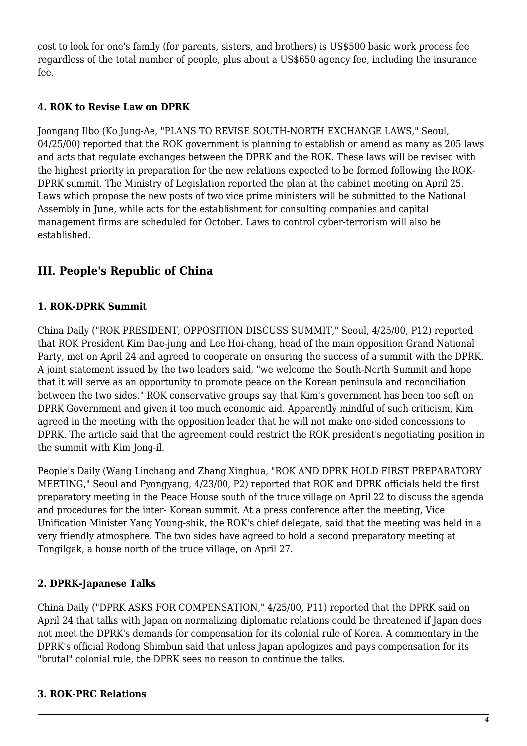cost to look for one's family (for parents, sisters, and brothers) is US\$500 basic work process fee regardless of the total number of people, plus about a US\$650 agency fee, including the insurance fee.

#### <span id="page-3-0"></span>**4. ROK to Revise Law on DPRK**

Joongang Ilbo (Ko Jung-Ae, "PLANS TO REVISE SOUTH-NORTH EXCHANGE LAWS," Seoul, 04/25/00) reported that the ROK government is planning to establish or amend as many as 205 laws and acts that regulate exchanges between the DPRK and the ROK. These laws will be revised with the highest priority in preparation for the new relations expected to be formed following the ROK-DPRK summit. The Ministry of Legislation reported the plan at the cabinet meeting on April 25. Laws which propose the new posts of two vice prime ministers will be submitted to the National Assembly in June, while acts for the establishment for consulting companies and capital management firms are scheduled for October. Laws to control cyber-terrorism will also be established.

### <span id="page-3-1"></span>**III. People's Republic of China**

#### <span id="page-3-2"></span>**1. ROK-DPRK Summit**

China Daily ("ROK PRESIDENT, OPPOSITION DISCUSS SUMMIT," Seoul, 4/25/00, P12) reported that ROK President Kim Dae-jung and Lee Hoi-chang, head of the main opposition Grand National Party, met on April 24 and agreed to cooperate on ensuring the success of a summit with the DPRK. A joint statement issued by the two leaders said, "we welcome the South-North Summit and hope that it will serve as an opportunity to promote peace on the Korean peninsula and reconciliation between the two sides." ROK conservative groups say that Kim's government has been too soft on DPRK Government and given it too much economic aid. Apparently mindful of such criticism, Kim agreed in the meeting with the opposition leader that he will not make one-sided concessions to DPRK. The article said that the agreement could restrict the ROK president's negotiating position in the summit with Kim Jong-il.

People's Daily (Wang Linchang and Zhang Xinghua, "ROK AND DPRK HOLD FIRST PREPARATORY MEETING," Seoul and Pyongyang, 4/23/00, P2) reported that ROK and DPRK officials held the first preparatory meeting in the Peace House south of the truce village on April 22 to discuss the agenda and procedures for the inter- Korean summit. At a press conference after the meeting, Vice Unification Minister Yang Young-shik, the ROK's chief delegate, said that the meeting was held in a very friendly atmosphere. The two sides have agreed to hold a second preparatory meeting at Tongilgak, a house north of the truce village, on April 27.

#### <span id="page-3-3"></span>**2. DPRK-Japanese Talks**

China Daily ("DPRK ASKS FOR COMPENSATION," 4/25/00, P11) reported that the DPRK said on April 24 that talks with Japan on normalizing diplomatic relations could be threatened if Japan does not meet the DPRK's demands for compensation for its colonial rule of Korea. A commentary in the DPRK's official Rodong Shimbun said that unless Japan apologizes and pays compensation for its "brutal" colonial rule, the DPRK sees no reason to continue the talks.

#### <span id="page-3-4"></span>**3. ROK-PRC Relations**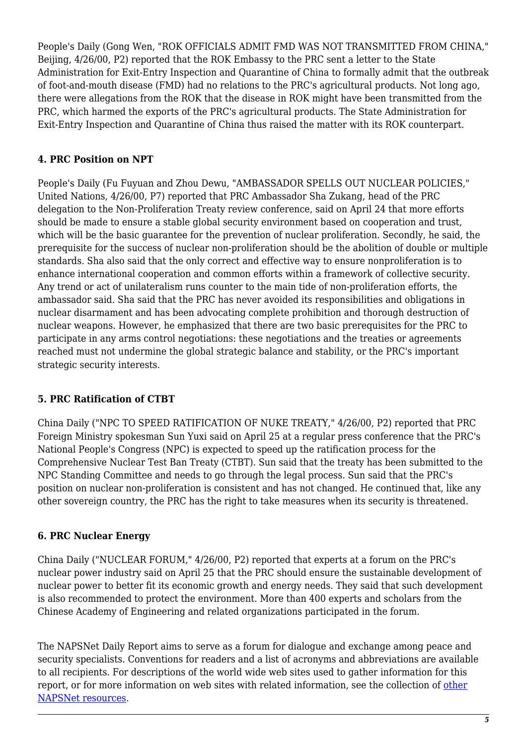People's Daily (Gong Wen, "ROK OFFICIALS ADMIT FMD WAS NOT TRANSMITTED FROM CHINA," Beijing, 4/26/00, P2) reported that the ROK Embassy to the PRC sent a letter to the State Administration for Exit-Entry Inspection and Quarantine of China to formally admit that the outbreak of foot-and-mouth disease (FMD) had no relations to the PRC's agricultural products. Not long ago, there were allegations from the ROK that the disease in ROK might have been transmitted from the PRC, which harmed the exports of the PRC's agricultural products. The State Administration for Exit-Entry Inspection and Quarantine of China thus raised the matter with its ROK counterpart.

#### <span id="page-4-0"></span>**4. PRC Position on NPT**

People's Daily (Fu Fuyuan and Zhou Dewu, "AMBASSADOR SPELLS OUT NUCLEAR POLICIES," United Nations, 4/26/00, P7) reported that PRC Ambassador Sha Zukang, head of the PRC delegation to the Non-Proliferation Treaty review conference, said on April 24 that more efforts should be made to ensure a stable global security environment based on cooperation and trust, which will be the basic guarantee for the prevention of nuclear proliferation. Secondly, he said, the prerequisite for the success of nuclear non-proliferation should be the abolition of double or multiple standards. Sha also said that the only correct and effective way to ensure nonproliferation is to enhance international cooperation and common efforts within a framework of collective security. Any trend or act of unilateralism runs counter to the main tide of non-proliferation efforts, the ambassador said. Sha said that the PRC has never avoided its responsibilities and obligations in nuclear disarmament and has been advocating complete prohibition and thorough destruction of nuclear weapons. However, he emphasized that there are two basic prerequisites for the PRC to participate in any arms control negotiations: these negotiations and the treaties or agreements reached must not undermine the global strategic balance and stability, or the PRC's important strategic security interests.

#### <span id="page-4-1"></span>**5. PRC Ratification of CTBT**

China Daily ("NPC TO SPEED RATIFICATION OF NUKE TREATY," 4/26/00, P2) reported that PRC Foreign Ministry spokesman Sun Yuxi said on April 25 at a regular press conference that the PRC's National People's Congress (NPC) is expected to speed up the ratification process for the Comprehensive Nuclear Test Ban Treaty (CTBT). Sun said that the treaty has been submitted to the NPC Standing Committee and needs to go through the legal process. Sun said that the PRC's position on nuclear non-proliferation is consistent and has not changed. He continued that, like any other sovereign country, the PRC has the right to take measures when its security is threatened.

#### <span id="page-4-2"></span>**6. PRC Nuclear Energy**

China Daily ("NUCLEAR FORUM," 4/26/00, P2) reported that experts at a forum on the PRC's nuclear power industry said on April 25 that the PRC should ensure the sustainable development of nuclear power to better fit its economic growth and energy needs. They said that such development is also recommended to protect the environment. More than 400 experts and scholars from the Chinese Academy of Engineering and related organizations participated in the forum.

The NAPSNet Daily Report aims to serve as a forum for dialogue and exchange among peace and security specialists. Conventions for readers and a list of acronyms and abbreviations are available to all recipients. For descriptions of the world wide web sites used to gather information for this report, or for more information on web sites with related information, see the collection of [other](http://nautilus.org/kiosk/weblinks.html) [NAPSNet resources.](http://nautilus.org/kiosk/weblinks.html)